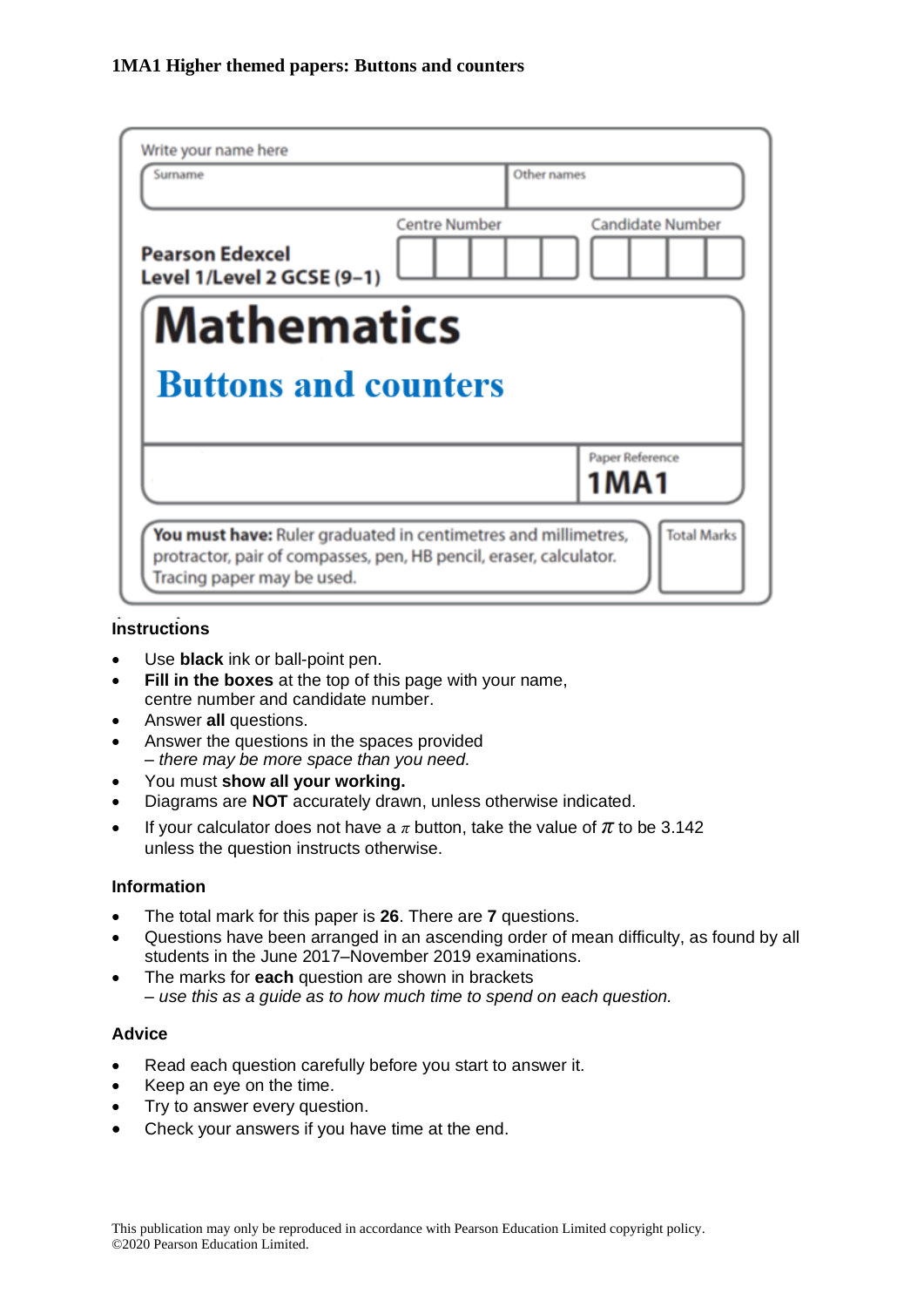| Write your name here<br>Surname                                                                                                                                    | Other names          |                         |  |  |  |
|--------------------------------------------------------------------------------------------------------------------------------------------------------------------|----------------------|-------------------------|--|--|--|
| <b>Pearson Edexcel</b><br>Level 1/Level 2 GCSE (9-1)                                                                                                               | <b>Centre Number</b> | <b>Candidate Number</b> |  |  |  |
| <b>Mathematics</b>                                                                                                                                                 |                      |                         |  |  |  |
| <b>Buttons and counters</b>                                                                                                                                        |                      |                         |  |  |  |
|                                                                                                                                                                    |                      | Paper Reference<br>1MA1 |  |  |  |
| You must have: Ruler graduated in centimetres and millimetres,<br>protractor, pair of compasses, pen, HB pencil, eraser, calculator.<br>Tracing paper may be used. |                      | <b>Total Marks</b>      |  |  |  |

# **Instructions**

- Use **black** ink or ball-point pen.
- **Fill in the boxes** at the top of this page with your name, centre number and candidate number.
- Answer **all** questions.
- Answer the questions in the spaces provided *– there may be more space than you need.*
- You must **show all your working.**
- Diagrams are **NOT** accurately drawn, unless otherwise indicated.
- If your calculator does not have a  $\pi$  button, take the value of  $\pi$  to be 3.142 unless the question instructs otherwise.

#### **Information**

- The total mark for this paper is **26**. There are **7** questions.
- Questions have been arranged in an ascending order of mean difficulty, as found by all students in the June 2017–November 2019 examinations.
- The marks for **each** question are shown in brackets *– use this as a guide as to how much time to spend on each question.*

#### **Advice**

- Read each question carefully before you start to answer it.
- Keep an eye on the time.
- Try to answer every question.
- Check your answers if you have time at the end.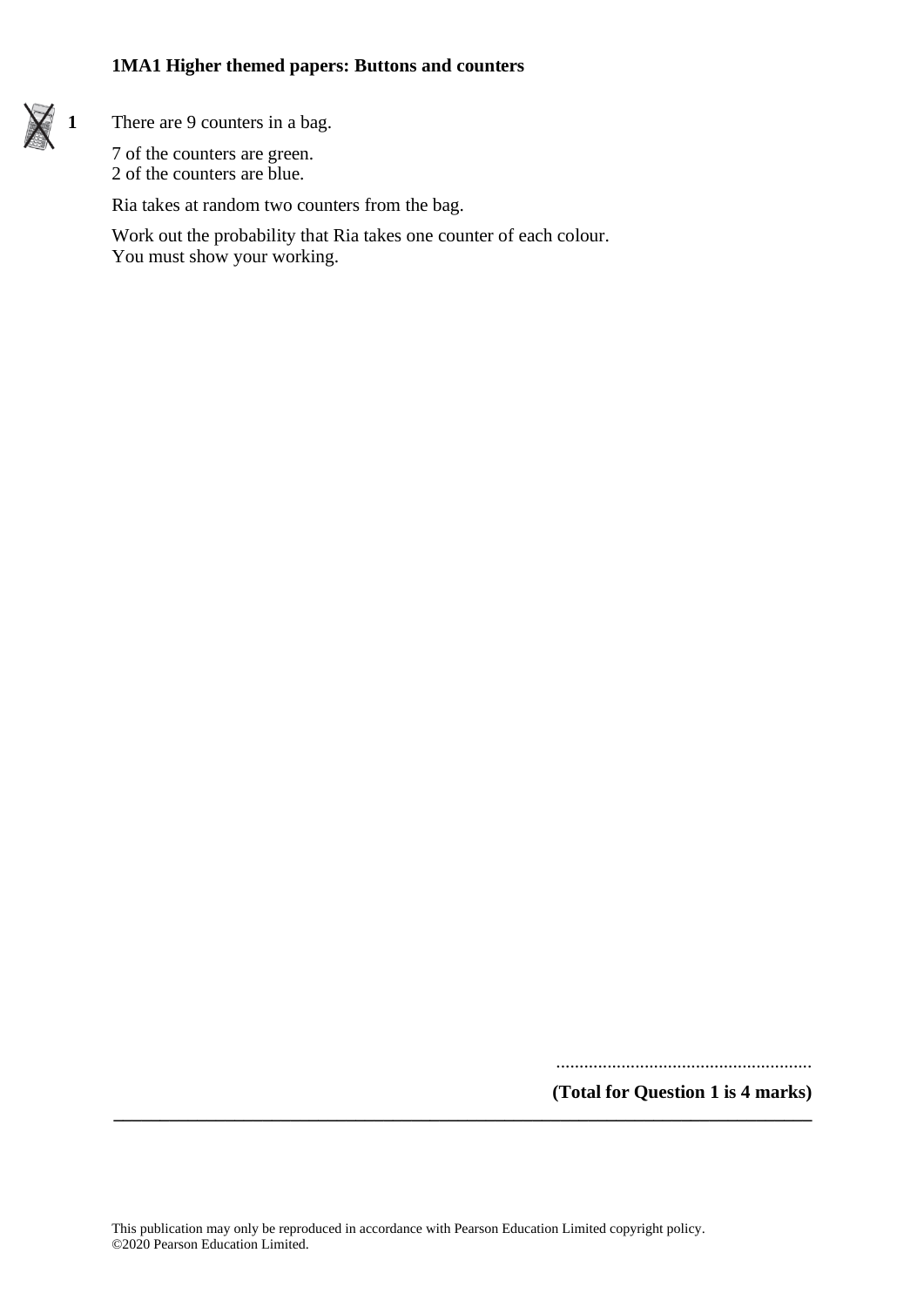

**1** There are 9 counters in a bag.

7 of the counters are green. 2 of the counters are blue.

Ria takes at random two counters from the bag.

Work out the probability that Ria takes one counter of each colour. You must show your working.

.......................................................

**(Total for Question 1 is 4 marks)**

**\_\_\_\_\_\_\_\_\_\_\_\_\_\_\_\_\_\_\_\_\_\_\_\_\_\_\_\_\_\_\_\_\_\_\_\_\_\_\_\_\_\_\_\_\_\_\_\_\_\_\_\_\_\_\_\_\_\_\_\_\_\_\_\_\_\_\_\_\_\_\_\_\_\_\_**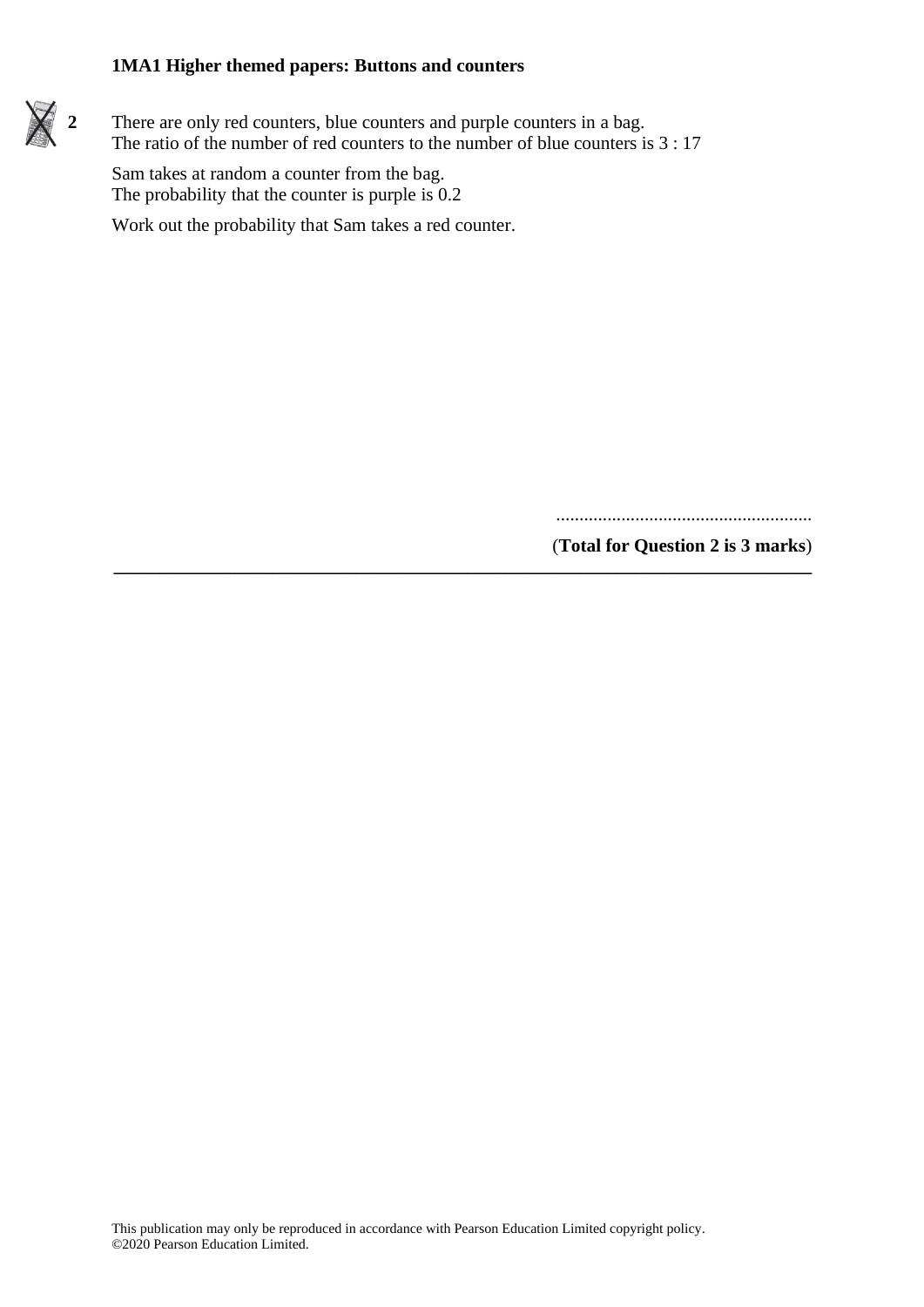**2** There are only red counters, blue counters and purple counters in a bag. The ratio of the number of red counters to the number of blue counters is 3 : 17

**\_\_\_\_\_\_\_\_\_\_\_\_\_\_\_\_\_\_\_\_\_\_\_\_\_\_\_\_\_\_\_\_\_\_\_\_\_\_\_\_\_\_\_\_\_\_\_\_\_\_\_\_\_\_\_\_\_\_\_\_\_\_\_\_\_\_\_\_\_\_\_\_\_\_\_**

Sam takes at random a counter from the bag. The probability that the counter is purple is  $0.2$ 

Work out the probability that Sam takes a red counter.

.......................................................

(**Total for Question 2 is 3 marks**)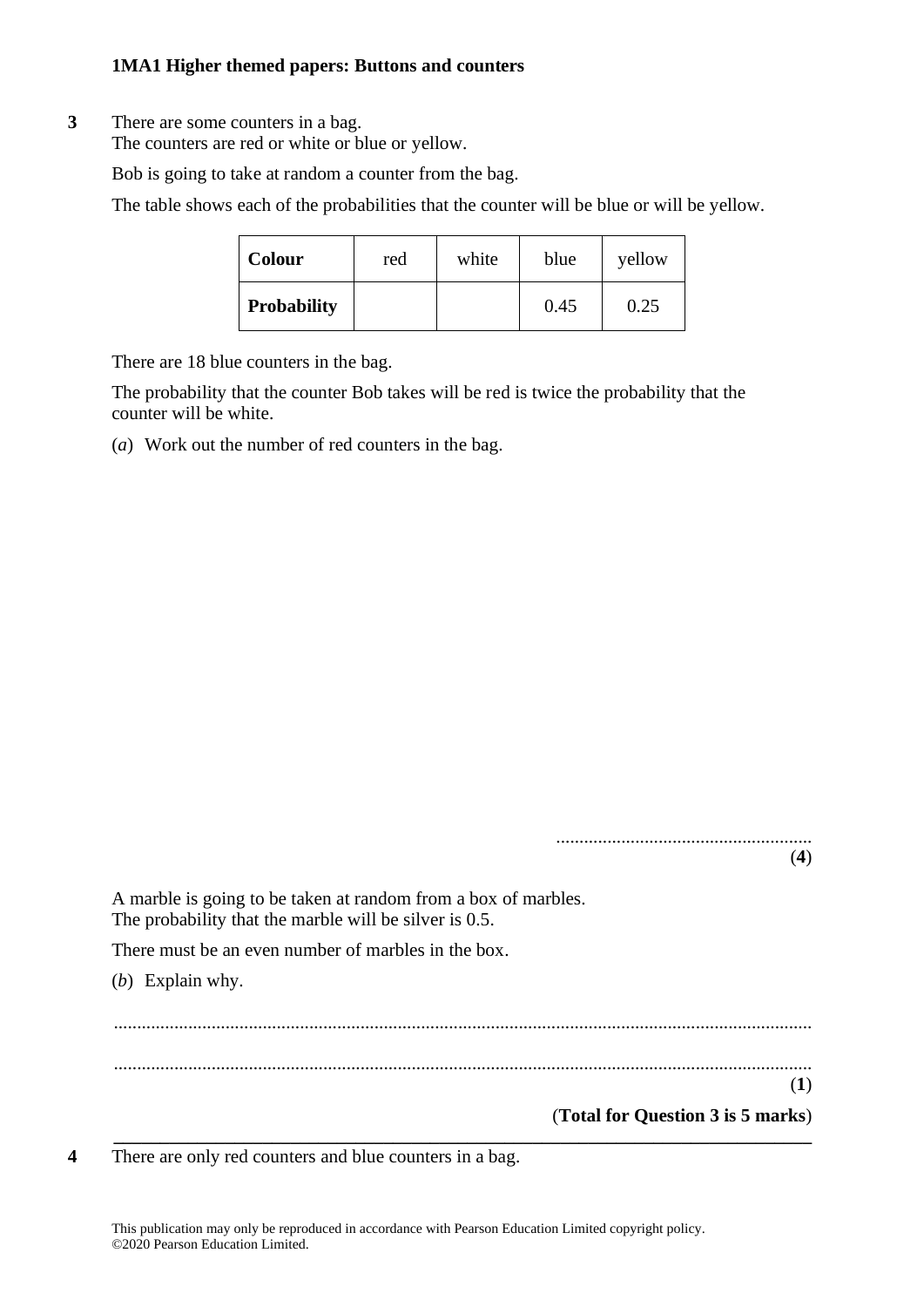# **3** There are some counters in a bag.

The counters are red or white or blue or yellow.

Bob is going to take at random a counter from the bag.

The table shows each of the probabilities that the counter will be blue or will be yellow.

| <b>Colour</b>      | red | white | blue | yellow |
|--------------------|-----|-------|------|--------|
| <b>Probability</b> |     |       | 0.45 | 0.25   |

There are 18 blue counters in the bag.

The probability that the counter Bob takes will be red is twice the probability that the counter will be white.

(*a*) Work out the number of red counters in the bag.

|                                                                                                                          | (4) |
|--------------------------------------------------------------------------------------------------------------------------|-----|
| A marble is going to be taken at random from a box of marbles.<br>The probability that the marble will be silver is 0.5. |     |
| There must be an even number of marbles in the box.                                                                      |     |
| (b) Explain why.                                                                                                         |     |
|                                                                                                                          |     |
|                                                                                                                          |     |
|                                                                                                                          | (1) |
| (Total for Question 3 is 5 marks)                                                                                        |     |

**4** There are only red counters and blue counters in a bag.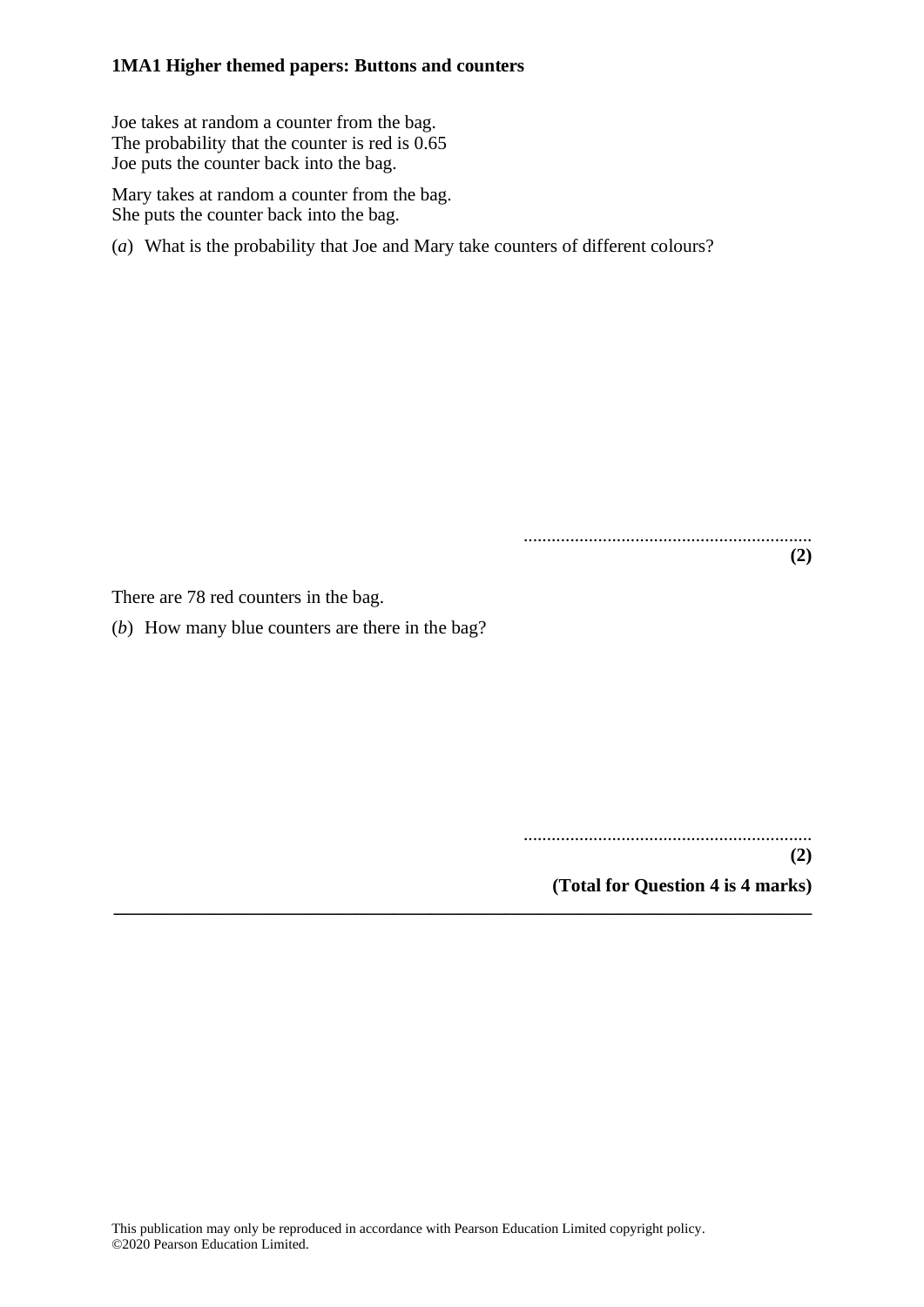Joe takes at random a counter from the bag. The probability that the counter is red is 0.65 Joe puts the counter back into the bag.

Mary takes at random a counter from the bag. She puts the counter back into the bag.

(*a*) What is the probability that Joe and Mary take counters of different colours?

.............................................................. **(2)**

There are 78 red counters in the bag.

(*b*) How many blue counters are there in the bag?

..............................................................

**(2) (Total for Question 4 is 4 marks)**

**\_\_\_\_\_\_\_\_\_\_\_\_\_\_\_\_\_\_\_\_\_\_\_\_\_\_\_\_\_\_\_\_\_\_\_\_\_\_\_\_\_\_\_\_\_\_\_\_\_\_\_\_\_\_\_\_\_\_\_\_\_\_\_\_\_\_\_\_\_\_\_\_\_\_\_**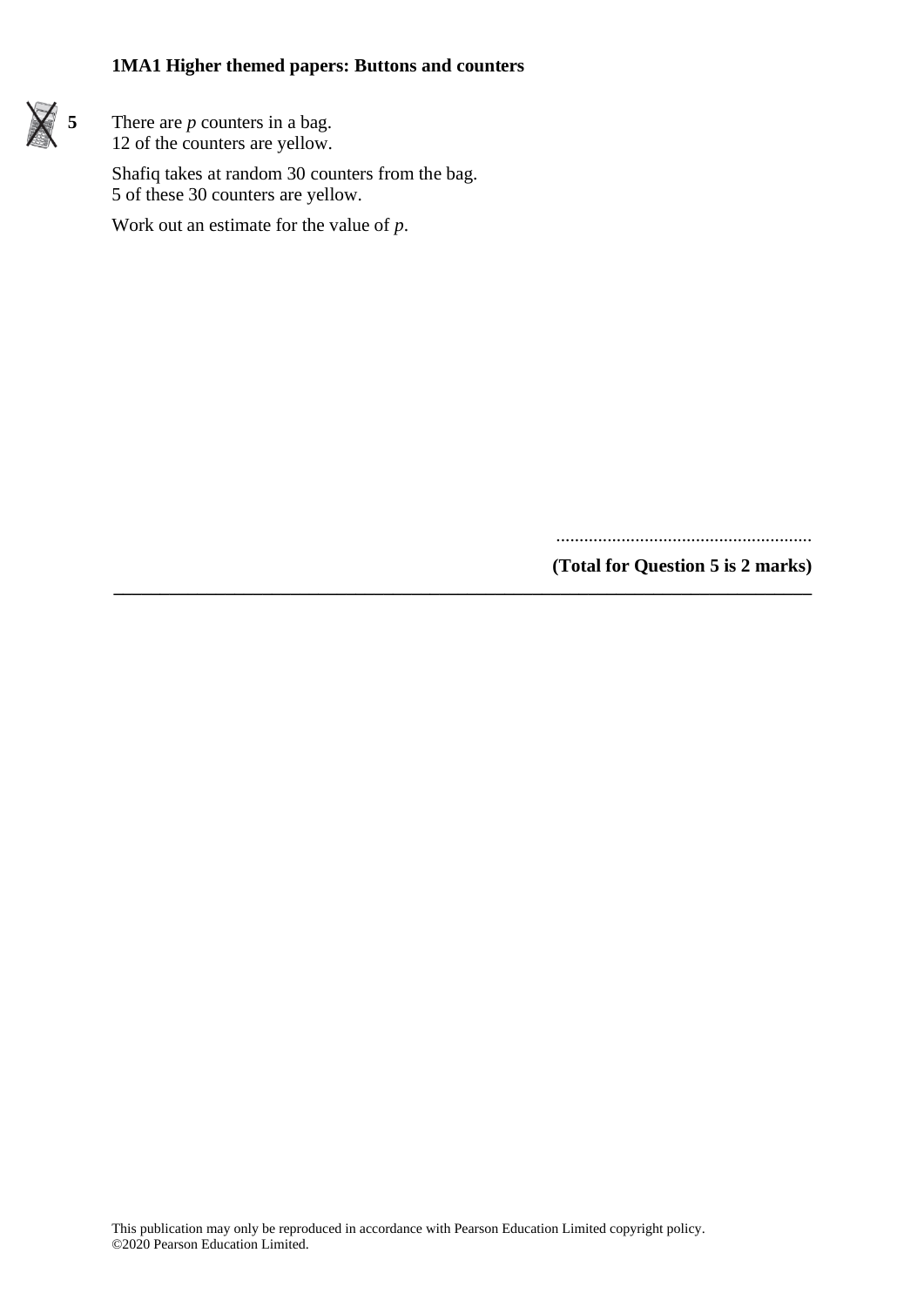

**5** There are *p* counters in a bag. 12 of the counters are yellow.

> Shafiq takes at random 30 counters from the bag. 5 of these 30 counters are yellow.

Work out an estimate for the value of *p*.

.......................................................

**(Total for Question 5 is 2 marks) \_\_\_\_\_\_\_\_\_\_\_\_\_\_\_\_\_\_\_\_\_\_\_\_\_\_\_\_\_\_\_\_\_\_\_\_\_\_\_\_\_\_\_\_\_\_\_\_\_\_\_\_\_\_\_\_\_\_\_\_\_\_\_\_\_\_\_\_\_\_\_\_\_\_\_**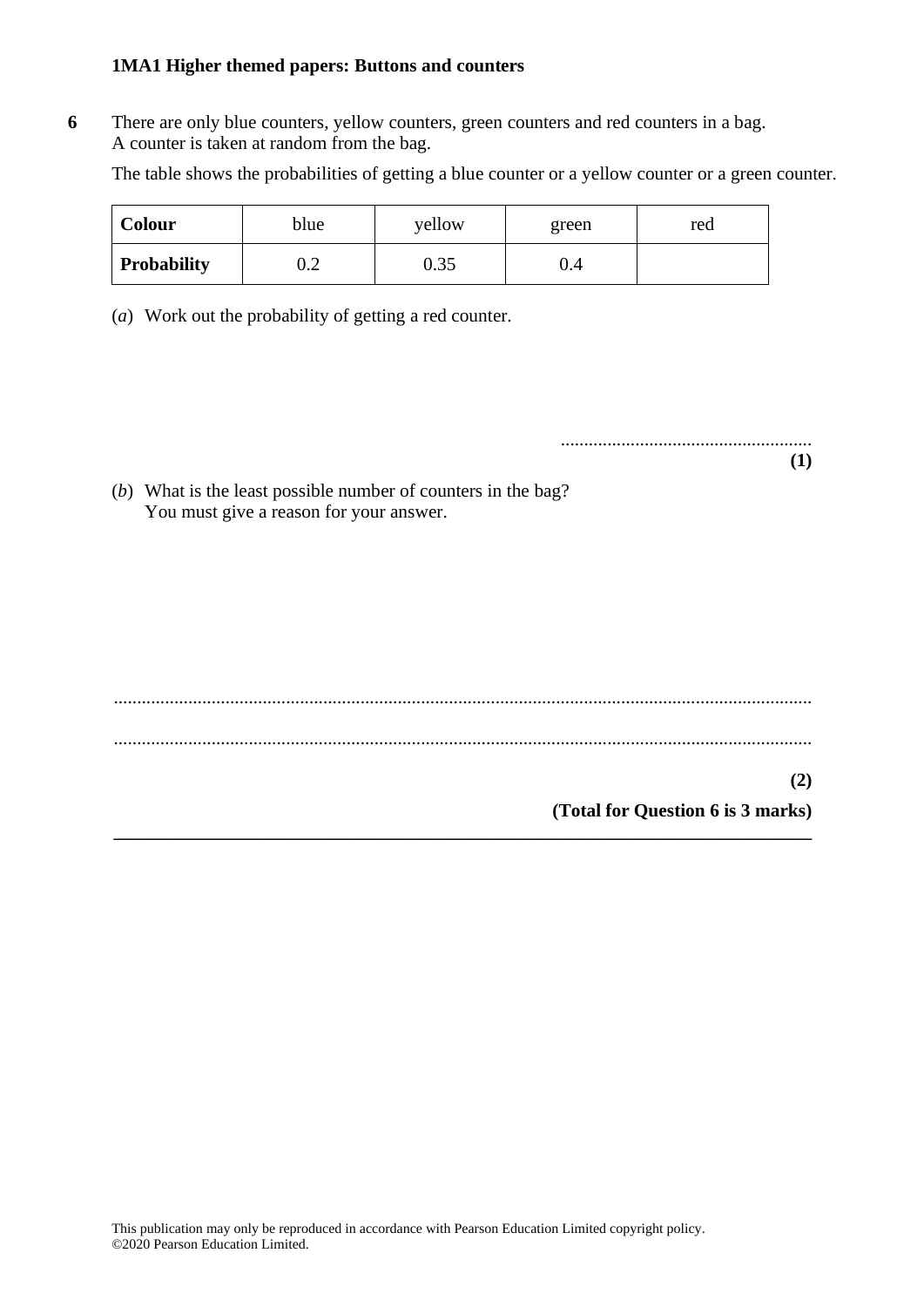**6** There are only blue counters, yellow counters, green counters and red counters in a bag. A counter is taken at random from the bag.

The table shows the probabilities of getting a blue counter or a yellow counter or a green counter.

| Colour             | blue | yellow | green | red |
|--------------------|------|--------|-------|-----|
| <b>Probability</b> | ∪.∠  | 0.35   | U.4   |     |

(*a*) Work out the probability of getting a red counter.

...................................................... **(1)**

(*b*) What is the least possible number of counters in the bag? You must give a reason for your answer.

...................................................................................................................................................... ...................................................................................................................................................... **(2) (Total for Question 6 is 3 marks) \_\_\_\_\_\_\_\_\_\_\_\_\_\_\_\_\_\_\_\_\_\_\_\_\_\_\_\_\_\_\_\_\_\_\_\_\_\_\_\_\_\_\_\_\_\_\_\_\_\_\_\_\_\_\_\_\_\_\_\_\_\_\_\_\_\_\_\_\_\_\_\_\_\_\_**